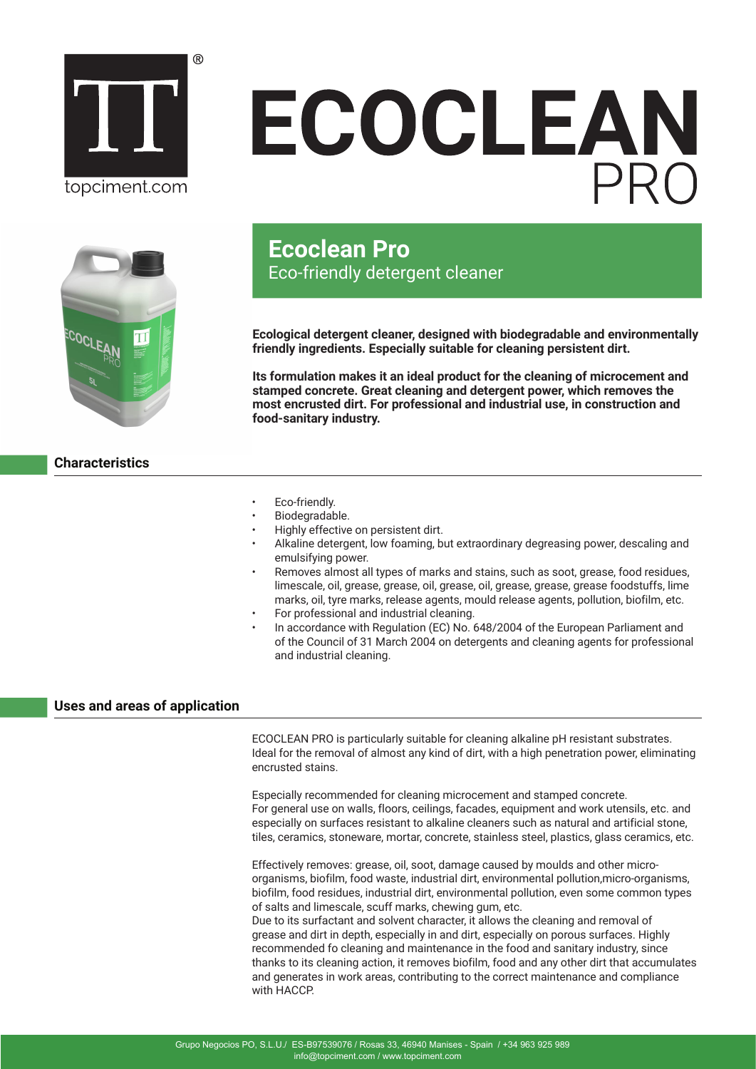

# ECOCLEAN



# **Ecoclean Pro** Eco-friendly detergent cleaner

**Ecological detergent cleaner, designed with biodegradable and environmentally friendly ingredients. Especially suitable for cleaning persistent dirt.**

**Its formulation makes it an ideal product for the cleaning of microcement and stamped concrete. Great cleaning and detergent power, which removes the most encrusted dirt. For professional and industrial use, in construction and food-sanitary industry.** 

- **Characteristics**
- Eco-friendly.
- Biodegradable.
- Highly effective on persistent dirt.
- Alkaline detergent, low foaming, but extraordinary degreasing power, descaling and emulsifying power.
- Removes almost all types of marks and stains, such as soot, grease, food residues, limescale, oil, grease, grease, oil, grease, oil, grease, grease, grease foodstuffs, lime marks, oil, tyre marks, release agents, mould release agents, pollution, biofilm, etc.
- For professional and industrial cleaning.
- In accordance with Regulation (EC) No. 648/2004 of the European Parliament and of the Council of 31 March 2004 on detergents and cleaning agents for professional and industrial cleaning.

# **Uses and areas of application**

ECOCLEAN PRO is particularly suitable for cleaning alkaline pH resistant substrates. Ideal for the removal of almost any kind of dirt, with a high penetration power, eliminating encrusted stains.

Especially recommended for cleaning microcement and stamped concrete. For general use on walls, floors, ceilings, facades, equipment and work utensils, etc. and especially on surfaces resistant to alkaline cleaners such as natural and artificial stone, tiles, ceramics, stoneware, mortar, concrete, stainless steel, plastics, glass ceramics, etc.

Effectively removes: grease, oil, soot, damage caused by moulds and other microorganisms, biofilm, food waste, industrial dirt, environmental pollution,micro-organisms, biofilm, food residues, industrial dirt, environmental pollution, even some common types of salts and limescale, scuff marks, chewing gum, etc.

Due to its surfactant and solvent character, it allows the cleaning and removal of grease and dirt in depth, especially in and dirt, especially on porous surfaces. Highly recommended fo cleaning and maintenance in the food and sanitary industry, since thanks to its cleaning action, it removes biofilm, food and any other dirt that accumulates and generates in work areas, contributing to the correct maintenance and compliance with HACCP.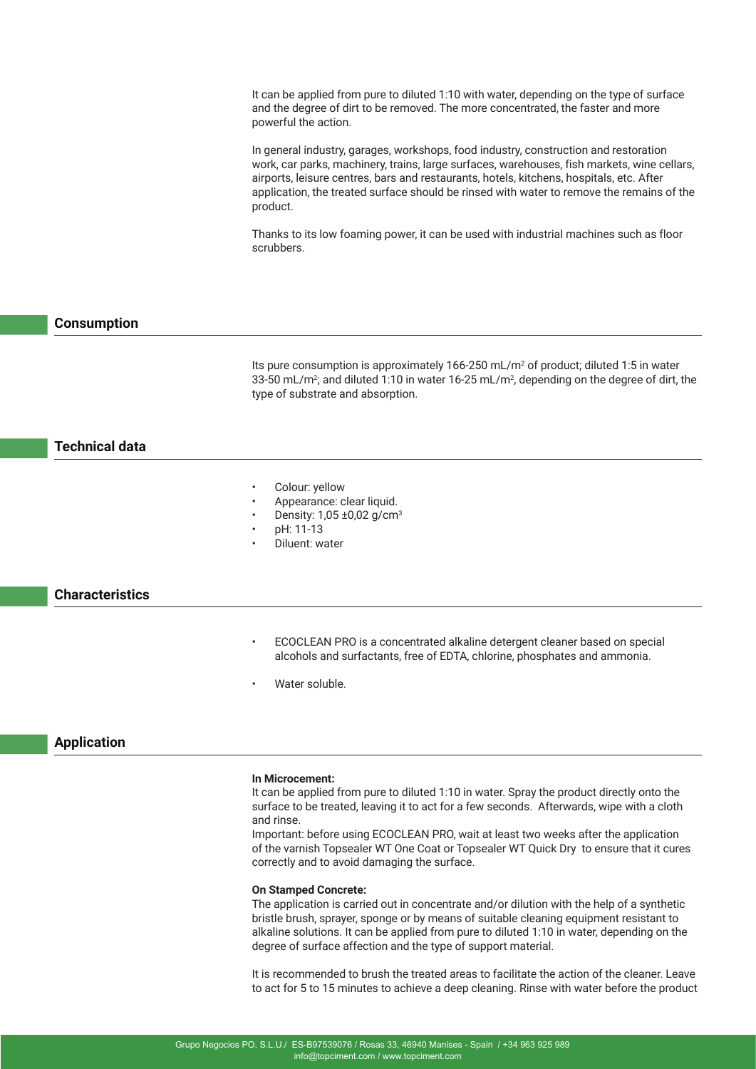It can be applied from pure to diluted 1:10 with water, depending on the type of surface and the degree of dirt to be removed. The more concentrated, the faster and more powerful the action.

In general industry, garages, workshops, food industry, construction and restoration work, car parks, machinery, trains, large surfaces, warehouses, fish markets, wine cellars, airports, leisure centres, bars and restaurants, hotels, kitchens, hospitals, etc. After application, the treated surface should be rinsed with water to remove the remains of the product.

Thanks to its low foaming power, it can be used with industrial machines such as floor scrubbers.

### **Consumption**

Its pure consumption is approximately  $166-250$  mL/m<sup>2</sup> of product; diluted 1:5 in water 33-50 mL/m<sup>2</sup>; and diluted 1:10 in water 16-25 mL/m<sup>2</sup>, depending on the degree of dirt, the type of substrate and absorption.

# **Technical data**

- Colour: yellow
- Appearance: clear liquid.
- Density: 1,05 ±0,02 g/cm3
- pH: 11-13
- Diluent: water

### **Characteristics**

- ECOCLEAN PRO is a concentrated alkaline detergent cleaner based on special alcohols and surfactants, free of EDTA, chlorine, phosphates and ammonia.
- Water soluble.

## **Application**

#### **In Microcement:**

It can be applied from pure to diluted 1:10 in water. Spray the product directly onto the surface to be treated, leaving it to act for a few seconds. Afterwards, wipe with a cloth and rinse.

Important: before using ECOCLEAN PRO, wait at least two weeks after the application of the varnish Topsealer WT One Coat or Topsealer WT Quick Dry to ensure that it cures correctly and to avoid damaging the surface.

#### **On Stamped Concrete:**

The application is carried out in concentrate and/or dilution with the help of a synthetic bristle brush, sprayer, sponge or by means of suitable cleaning equipment resistant to alkaline solutions. It can be applied from pure to diluted 1:10 in water, depending on the degree of surface affection and the type of support material.

It is recommended to brush the treated areas to facilitate the action of the cleaner. Leave to act for 5 to 15 minutes to achieve a deep cleaning. Rinse with water before the product